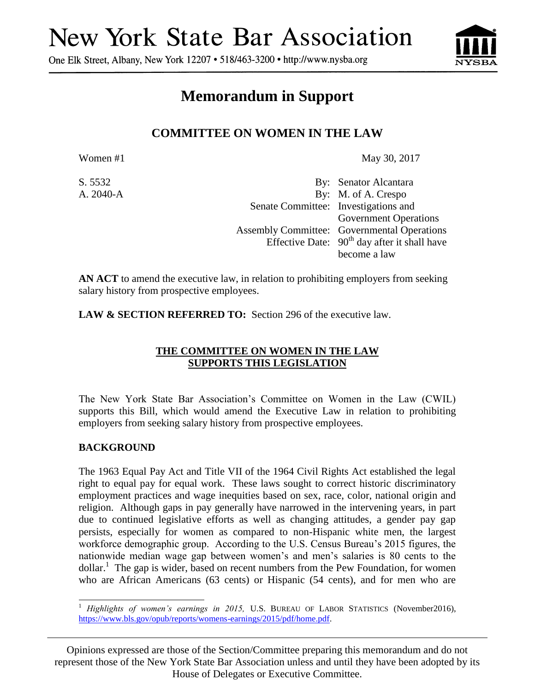# **New York State Bar Association**

One Elk Street, Albany, New York 12207 • 518/463-3200 • http://www.nysba.org



# **Memorandum in Support**

# **COMMITTEE ON WOMEN IN THE LAW**

Women #1 May 30, 2017

| S. 5532   |                                      | By: Senator Alcantara                              |
|-----------|--------------------------------------|----------------------------------------------------|
| A. 2040-A |                                      | By: M. of A. Crespo                                |
|           | Senate Committee: Investigations and |                                                    |
|           |                                      | <b>Government Operations</b>                       |
|           |                                      | <b>Assembly Committee:</b> Governmental Operations |
|           |                                      | Effective Date: $90th$ day after it shall have     |
|           |                                      | become a law                                       |

**AN ACT** to amend the executive law, in relation to prohibiting employers from seeking salary history from prospective employees.

LAW & SECTION REFERRED TO: Section 296 of the executive law.

# **THE COMMITTEE ON WOMEN IN THE LAW SUPPORTS THIS LEGISLATION**

The New York State Bar Association's Committee on Women in the Law (CWIL) supports this Bill, which would amend the Executive Law in relation to prohibiting employers from seeking salary history from prospective employees.

# **BACKGROUND**

The 1963 Equal Pay Act and Title VII of the 1964 Civil Rights Act established the legal right to equal pay for equal work. These laws sought to correct historic discriminatory employment practices and wage inequities based on sex, race, color, national origin and religion. Although gaps in pay generally have narrowed in the intervening years, in part due to continued legislative efforts as well as changing attitudes, a gender pay gap persists, especially for women as compared to non-Hispanic white men, the largest workforce demographic group. According to the U.S. Census Bureau's 2015 figures, the nationwide median wage gap between women's and men's salaries is 80 cents to the  $\text{dollar.}^1$  The gap is wider, based on recent numbers from the Pew Foundation, for women who are African Americans (63 cents) or Hispanic (54 cents), and for men who are

Opinions expressed are those of the Section/Committee preparing this memorandum and do not represent those of the New York State Bar Association unless and until they have been adopted by its House of Delegates or Executive Committee.

 $\overline{a}$ <sup>1</sup> *Highlights of women's earnings in 2015,* U.S. BUREAU OF LABOR STATISTICS (November2016), [https://www.bls.gov/opub/reports/womens-earnings/2015/pdf/home.pdf.](https://www.bls.gov/opub/reports/womens-earnings/2015/pdf/home.pdf)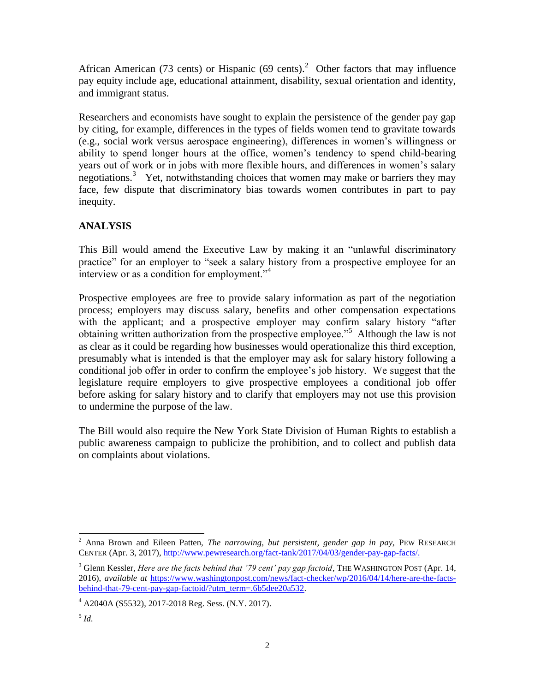African American (73 cents) or Hispanic (69 cents).<sup>2</sup> Other factors that may influence pay equity include age, educational attainment, disability, sexual orientation and identity, and immigrant status.

Researchers and economists have sought to explain the persistence of the gender pay gap by citing, for example, differences in the types of fields women tend to gravitate towards (e.g., social work versus aerospace engineering), differences in women's willingness or ability to spend longer hours at the office, women's tendency to spend child-bearing years out of work or in jobs with more flexible hours, and differences in women's salary negotiations.<sup>3</sup> Yet, notwithstanding choices that women may make or barriers they may face, few dispute that discriminatory bias towards women contributes in part to pay inequity.

# **ANALYSIS**

This Bill would amend the Executive Law by making it an "unlawful discriminatory practice" for an employer to "seek a salary history from a prospective employee for an interview or as a condition for employment."<sup>4</sup>

Prospective employees are free to provide salary information as part of the negotiation process; employers may discuss salary, benefits and other compensation expectations with the applicant; and a prospective employer may confirm salary history "after obtaining written authorization from the prospective employee."<sup>5</sup> Although the law is not as clear as it could be regarding how businesses would operationalize this third exception, presumably what is intended is that the employer may ask for salary history following a conditional job offer in order to confirm the employee's job history. We suggest that the legislature require employers to give prospective employees a conditional job offer before asking for salary history and to clarify that employers may not use this provision to undermine the purpose of the law.

The Bill would also require the New York State Division of Human Rights to establish a public awareness campaign to publicize the prohibition, and to collect and publish data on complaints about violations.

 $\overline{\phantom{a}}$ 

<sup>&</sup>lt;sup>2</sup> Anna Brown and Eileen Patten, *The narrowing, but persistent, gender gap in pay*, PEW RESEARCH CENTER (Apr. 3, 2017), [http://www.pewresearch.org/fact-tank/2017/04/03/gender-pay-gap-facts/.](http://www.pewresearch.org/fact-tank/2017/04/03/gender-pay-gap-facts/)

<sup>&</sup>lt;sup>3</sup> Glenn Kessler, *Here are the facts behind that '79 cent' pay gap factoid*, THE WASHINGTON POST (Apr. 14, 2016), *available at* [https://www.washingtonpost.com/news/fact-checker/wp/2016/04/14/here-are-the-facts](https://www.washingtonpost.com/news/fact-checker/wp/2016/04/14/here-are-the-facts-behind-that-79-cent-pay-gap-factoid/?utm_term=.6b5dee20a532)[behind-that-79-cent-pay-gap-factoid/?utm\\_term=.6b5dee20a532.](https://www.washingtonpost.com/news/fact-checker/wp/2016/04/14/here-are-the-facts-behind-that-79-cent-pay-gap-factoid/?utm_term=.6b5dee20a532)

 $4$  A2040A (S5532), 2017-2018 Reg. Sess. (N.Y. 2017).

<sup>5</sup> *Id.*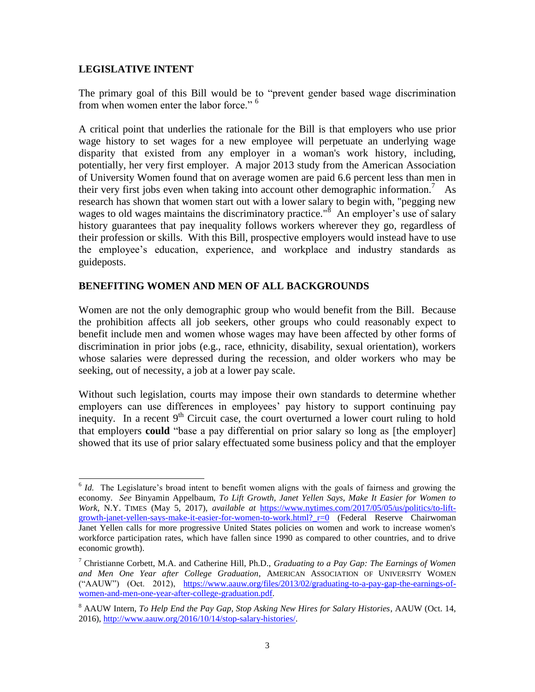#### **LEGISLATIVE INTENT**

l

The primary goal of this Bill would be to "prevent gender based wage discrimination from when women enter the labor force."<sup>6</sup>

A critical point that underlies the rationale for the Bill is that employers who use prior wage history to set wages for a new employee will perpetuate an underlying wage disparity that existed from any employer in a woman's work history, including, potentially, her very first employer. A major 2013 study from the American Association of University Women found that on average women are paid 6.6 percent less than men in their very first jobs even when taking into account other demographic information.<sup>7</sup> As research has shown that women start out with a lower salary to begin with, "pegging new wages to old wages maintains the discriminatory practice."<sup>8</sup> An employer's use of salary history guarantees that pay inequality follows workers wherever they go, regardless of their profession or skills. With this Bill, prospective employers would instead have to use the employee's education, experience, and workplace and industry standards as guideposts.

#### **BENEFITING WOMEN AND MEN OF ALL BACKGROUNDS**

Women are not the only demographic group who would benefit from the Bill. Because the prohibition affects all job seekers, other groups who could reasonably expect to benefit include men and women whose wages may have been affected by other forms of discrimination in prior jobs (e.g., race, ethnicity, disability, sexual orientation), workers whose salaries were depressed during the recession, and older workers who may be seeking, out of necessity, a job at a lower pay scale.

Without such legislation, courts may impose their own standards to determine whether employers can use differences in employees' pay history to support continuing pay inequity. In a recent  $9<sup>th</sup>$  Circuit case, the court overturned a lower court ruling to hold that employers **could** "base a pay differential on prior salary so long as [the employer] showed that its use of prior salary effectuated some business policy and that the employer

<sup>&</sup>lt;sup>6</sup> *Id.* The Legislature's broad intent to benefit women aligns with the goals of fairness and growing the economy. *See* Binyamin Appelbaum, *To Lift Growth, Janet Yellen Says, Make It Easier for Women to Work*, N.Y. TIMES (May 5, 2017), *available at* [https://www.nytimes.com/2017/05/05/us/politics/to-lift](https://www.nytimes.com/2017/05/05/us/politics/to-lift-growth-janet-yellen-says-make-it-easier-for-women-to-work.html?_r=0)growth-janet-yellen-says-make-it-easier-for-women-to-work.html? r=0 (Federal Reserve Chairwoman Janet Yellen calls for more progressive United States policies on women and work to increase women's workforce participation rates, which have fallen since 1990 as compared to other countries, and to drive economic growth).

<sup>7</sup> Christianne Corbett, M.A. and Catherine Hill, Ph.D., *Graduating to a Pay Gap: The Earnings of Women and Men One Year after College Graduation*, AMERICAN ASSOCIATION OF UNIVERSITY WOMEN ("AAUW") (Oct. 2012), [https://www.aauw.org/files/2013/02/graduating-to-a-pay-gap-the-earnings-of](https://www.aauw.org/files/2013/02/graduating-to-a-pay-gap-the-earnings-of-women-and-men-one-year-after-college-graduation.pdf)[women-and-men-one-year-after-college-graduation.pdf.](https://www.aauw.org/files/2013/02/graduating-to-a-pay-gap-the-earnings-of-women-and-men-one-year-after-college-graduation.pdf)

<sup>8</sup> AAUW Intern, *To Help End the Pay Gap, Stop Asking New Hires for Salary Histories*, AAUW (Oct. 14, 2016), [http://www.aauw.org/2016/10/14/stop-salary-histories/.](http://www.aauw.org/2016/10/14/stop-salary-histories/)